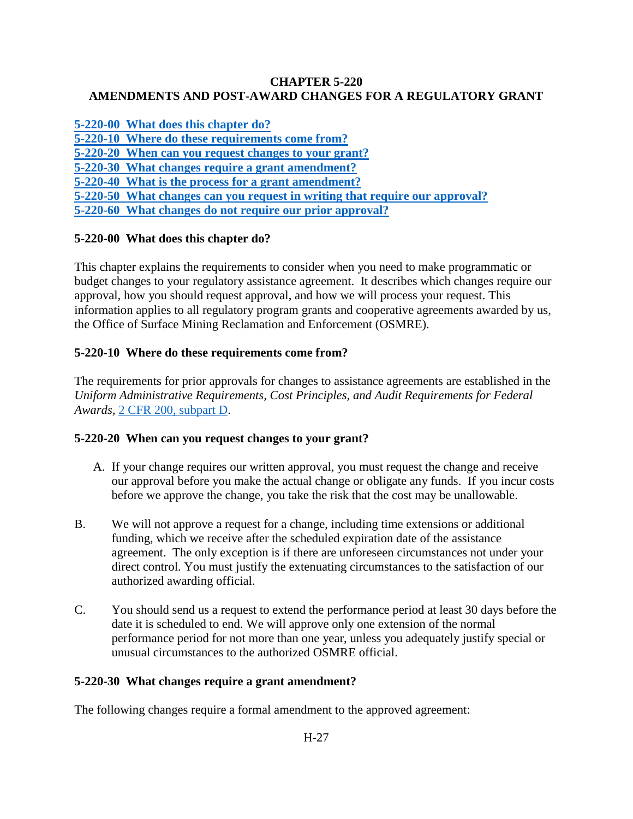#### **CHAPTER 5-220 AMENDMENTS AND POST-AWARD CHANGES FOR A REGULATORY GRANT**

**[5-220-00 What does this chapter do?](#page-0-0)**

<span id="page-0-0"></span>**[5-220-10 Where do these requirements come from?](#page-0-1)**

**[5-220-20 When can you request changes to your grant?](#page-0-2)**

**[5-220-30 What changes require a grant amendment?](#page-0-3)**

**[5-220-40 What is the process for a grant amendment?](#page-1-0)**

**[5-220-50 What changes can you request in writing that require our approval?](#page-1-1)**

**[5-220-60 What changes do not require our prior approval?](#page-2-0)**

# **5-220-00 What does this chapter do?**

This chapter explains the requirements to consider when you need to make programmatic or budget changes to your regulatory assistance agreement. It describes which changes require our approval, how you should request approval, and how we will process your request. This information applies to all regulatory program grants and cooperative agreements awarded by us, the Office of Surface Mining Reclamation and Enforcement (OSMRE).

# <span id="page-0-1"></span>**5-220-10 Where do these requirements come from?**

The requirements for prior approvals for changes to assistance agreements are established in the *Uniform Administrative Requirements, Cost Principles, and Audit Requirements for Federal Awards,* [2 CFR 200, subpart D.](http://www.ecfr.gov/cgi-bin/text-idx?SID=3bd3b173eeb54685d68c235a8396c7b0&node=pt2.1.200&rgn=div5)

### <span id="page-0-2"></span>**5-220-20 When can you request changes to your grant?**

- A. If your change requires our written approval, you must request the change and receive our approval before you make the actual change or obligate any funds. If you incur costs before we approve the change, you take the risk that the cost may be unallowable.
- B. We will not approve a request for a change, including time extensions or additional funding, which we receive after the scheduled expiration date of the assistance agreement. The only exception is if there are unforeseen circumstances not under your direct control. You must justify the extenuating circumstances to the satisfaction of our authorized awarding official.
- C. You should send us a request to extend the performance period at least 30 days before the date it is scheduled to end. We will approve only one extension of the normal performance period for not more than one year, unless you adequately justify special or unusual circumstances to the authorized OSMRE official.

### <span id="page-0-3"></span>**5-220-30 What changes require a grant amendment?**

The following changes require a formal amendment to the approved agreement: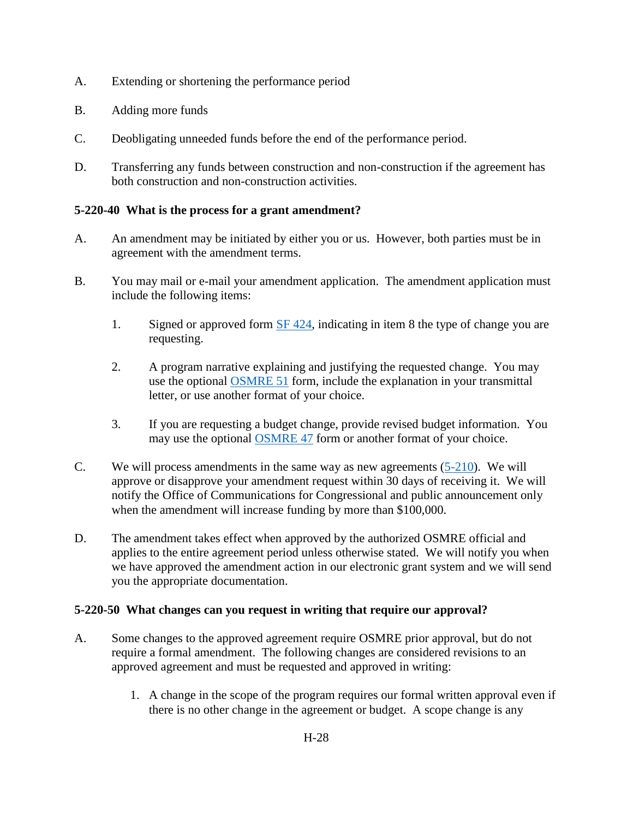- A. Extending or shortening the performance period
- B. Adding more funds
- C. Deobligating unneeded funds before the end of the performance period.
- D. Transferring any funds between construction and non-construction if the agreement has both construction and non-construction activities.

# <span id="page-1-0"></span>**5-220-40 What is the process for a grant amendment?**

- A. An amendment may be initiated by either you or us. However, both parties must be in agreement with the amendment terms.
- B. You may mail or e-mail your amendment application. The amendment application must include the following items:
	- 1. Signed or approved form [SF 424,](http://apply07.grants.gov/apply/forms/sample/SF424_2_1-V2.1.pdf) indicating in item 8 the type of change you are requesting.
	- 2. A program narrative explaining and justifying the requested change. You may use the optional [OSMRE 51](http://www.osmre.gov/resources/forms/OSM51.pdf) form, include the explanation in your transmittal letter, or use another format of your choice.
	- 3. If you are requesting a budget change, provide revised budget information. You may use the optional [OSMRE 47](http://www.osmre.gov/resources/forms/OSM47.pdf) form or another format of your choice.
- C. We will process amendments in the same way as new agreements [\(5-210\)](https://www.osmre.gov/lrg/fam/5-210.pdf). We will approve or disapprove your amendment request within 30 days of receiving it. We will notify the Office of Communications for Congressional and public announcement only when the amendment will increase funding by more than \$100,000.
- D. The amendment takes effect when approved by the authorized OSMRE official and applies to the entire agreement period unless otherwise stated. We will notify you when we have approved the amendment action in our electronic grant system and we will send you the appropriate documentation.

### <span id="page-1-1"></span>**5-220-50 What changes can you request in writing that require our approval?**

- A. Some changes to the approved agreement require OSMRE prior approval, but do not require a formal amendment. The following changes are considered revisions to an approved agreement and must be requested and approved in writing:
	- 1. A change in the scope of the program requires our formal written approval even if there is no other change in the agreement or budget. A scope change is any